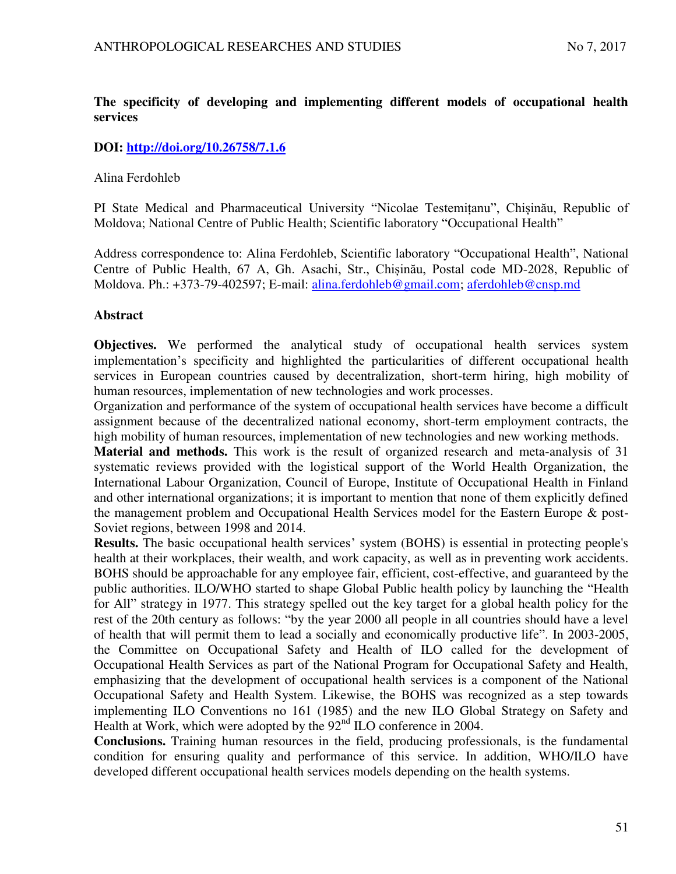# **The specificity of developing and implementing different models of occupational health services**

# **DOI:<http://doi.org/10.26758/7.1.6>**

## Alina Ferdohleb

PI State Medical and Pharmaceutical University "Nicolae Testemițanu", Chișinău, Republic of Moldova; National Centre of Public Health; Scientific laboratory "Occupational Health"

Address correspondence to: Alina Ferdohleb, Scientific laboratory "Occupational Health", National Centre of Public Health, 67 A, Gh. Asachi, Str., Chișinău, Postal code MD-2028, Republic of Moldova. Ph.: +373-79-402597; E-mail: alina.ferdohleb@gmail.com; [aferdohleb@cnsp.md](mailto:aferdohleb@cnsp.md)

## **Abstract**

**Objectives.** We performed the analytical study of occupational health services system implementation's specificity and highlighted the particularities of different occupational health services in European countries caused by decentralization, short-term hiring, high mobility of human resources, implementation of new technologies and work processes.

Organization and performance of the system of occupational health services have become a difficult assignment because of the decentralized national economy, short-term employment contracts, the high mobility of human resources, implementation of new technologies and new working methods.

**Material and methods.** This work is the result of organized research and meta-analysis of 31 systematic reviews provided with the logistical support of the World Health Organization, the International Labour Organization, Council of Europe, Institute of Occupational Health in Finland and other international organizations; it is important to mention that none of them explicitly defined the management problem and Occupational Health Services model for the Eastern Europe & post-Soviet regions, between 1998 and 2014.

**Results.** The basic occupational health services' system (BOHS) is essential in protecting people's health at their workplaces, their wealth, and work capacity, as well as in preventing work accidents. BOHS should be approachable for any employee fair, efficient, cost-effective, and guaranteed by the public authorities. ILO/WHO started to shape Global Public health policy by launching the "Health for All" strategy in 1977. This strategy spelled out the key target for a global health policy for the rest of the 20th century as follows: "by the year 2000 all people in all countries should have a level of health that will permit them to lead a socially and economically productive life". In 2003-2005, the Committee on Occupational Safety and Health of ILO called for the development of Occupational Health Services as part of the National Program for Occupational Safety and Health, emphasizing that the development of occupational health services is a component of the National Occupational Safety and Health System. Likewise, the BOHS was recognized as a step towards implementing ILO Conventions no 161 (1985) and the new ILO Global Strategy on Safety and Health at Work, which were adopted by the  $92<sup>nd</sup>$  ILO conference in 2004.

**Conclusions.** Training human resources in the field, producing professionals, is the fundamental condition for ensuring quality and performance of this service. In addition, WHO/ILO have developed different occupational health services models depending on the health systems.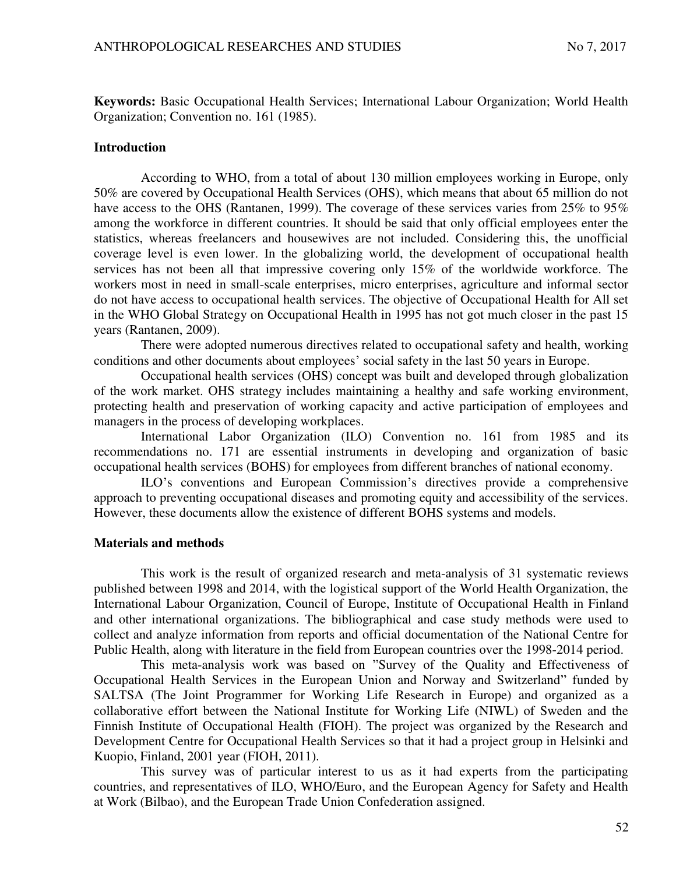**Keywords:** Basic Occupational Health Services; International Labour Organization; World Health Organization; Convention no. 161 (1985).

## **Introduction**

According to WHO, from a total of about 130 million employees working in Europe, only 50% are covered by Occupational Health Services (OHS), which means that about 65 million do not have access to the OHS (Rantanen, 1999). The coverage of these services varies from 25% to 95% among the workforce in different countries. It should be said that only official employees enter the statistics, whereas freelancers and housewives are not included. Considering this, the unofficial coverage level is even lower. In the globalizing world, the development of occupational health services has not been all that impressive covering only 15% of the worldwide workforce. The workers most in need in small-scale enterprises, micro enterprises, agriculture and informal sector do not have access to occupational health services. The objective of Occupational Health for All set in the WHO Global Strategy on Occupational Health in 1995 has not got much closer in the past 15 years (Rantanen, 2009).

There were adopted numerous directives related to occupational safety and health, working conditions and other documents about employees' social safety in the last 50 years in Europe.

Occupational health services (OHS) concept was built and developed through globalization of the work market. OHS strategy includes maintaining a healthy and safe working environment, protecting health and preservation of working capacity and active participation of employees and managers in the process of developing workplaces.

International Labor Organization (ILO) Convention no. 161 from 1985 and its recommendations no. 171 are essential instruments in developing and organization of basic occupational health services (BOHS) for employees from different branches of national economy.

ILO's conventions and European Commission's directives provide a comprehensive approach to preventing occupational diseases and promoting equity and accessibility of the services. However, these documents allow the existence of different BOHS systems and models.

## **Materials and methods**

This work is the result of organized research and meta-analysis of 31 systematic reviews published between 1998 and 2014, with the logistical support of the World Health Organization, the International Labour Organization, Council of Europe, Institute of Occupational Health in Finland and other international organizations. The bibliographical and case study methods were used to collect and analyze information from reports and official documentation of the National Centre for Public Health, along with literature in the field from European countries over the 1998-2014 period.

This meta-analysis work was based on "Survey of the Quality and Effectiveness of Occupational Health Services in the European Union and Norway and Switzerland" funded by SALTSA (The Joint Programmer for Working Life Research in Europe) and organized as a collaborative effort between the National Institute for Working Life (NIWL) of Sweden and the Finnish Institute of Occupational Health (FIOH). The project was organized by the Research and Development Centre for Occupational Health Services so that it had a project group in Helsinki and Kuopio, Finland, 2001 year (FIOH, 2011).

This survey was of particular interest to us as it had experts from the participating countries, and representatives of ILO, WHO/Euro, and the European Agency for Safety and Health at Work (Bilbao), and the European Trade Union Confederation assigned.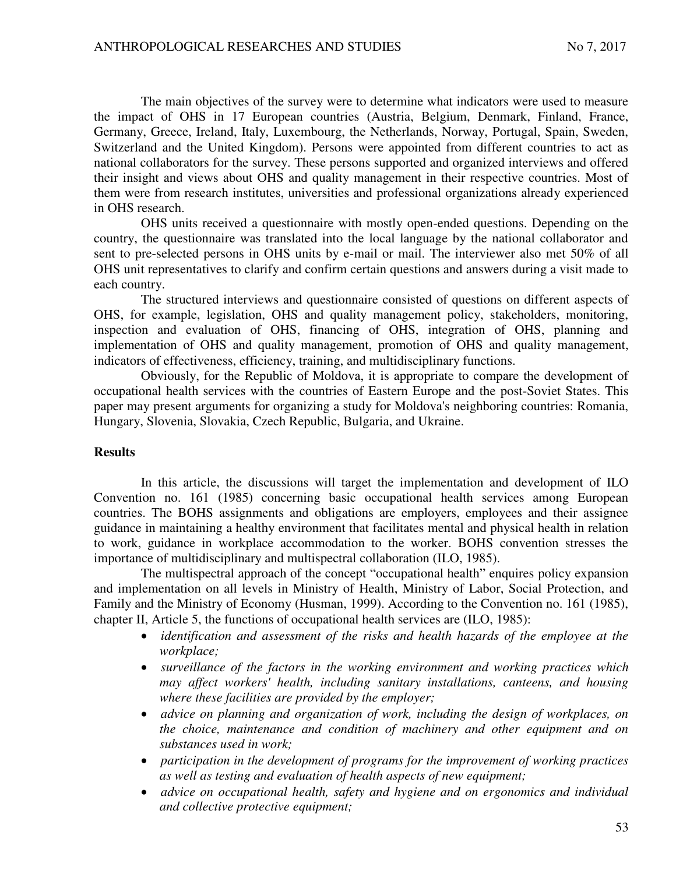The main objectives of the survey were to determine what indicators were used to measure the impact of OHS in 17 European countries (Austria, Belgium, Denmark, Finland, France, Germany, Greece, Ireland, Italy, Luxembourg, the Netherlands, Norway, Portugal, Spain, Sweden, Switzerland and the United Kingdom). Persons were appointed from different countries to act as national collaborators for the survey. These persons supported and organized interviews and offered their insight and views about OHS and quality management in their respective countries. Most of them were from research institutes, universities and professional organizations already experienced in OHS research.

OHS units received a questionnaire with mostly open-ended questions. Depending on the country, the questionnaire was translated into the local language by the national collaborator and sent to pre-selected persons in OHS units by e-mail or mail. The interviewer also met 50% of all OHS unit representatives to clarify and confirm certain questions and answers during a visit made to each country.

The structured interviews and questionnaire consisted of questions on different aspects of OHS, for example, legislation, OHS and quality management policy, stakeholders, monitoring, inspection and evaluation of OHS, financing of OHS, integration of OHS, planning and implementation of OHS and quality management, promotion of OHS and quality management, indicators of effectiveness, efficiency, training, and multidisciplinary functions.

Obviously, for the Republic of Moldova, it is appropriate to compare the development of occupational health services with the countries of Eastern Europe and the post-Soviet States. This paper may present arguments for organizing a study for Moldova's neighboring countries: Romania, Hungary, Slovenia, Slovakia, Czech Republic, Bulgaria, and Ukraine.

#### **Results**

In this article, the discussions will target the implementation and development of ILO Convention no. 161 (1985) concerning basic occupational health services among European countries. The BOHS assignments and obligations are employers, employees and their assignee guidance in maintaining a healthy environment that facilitates mental and physical health in relation to work, guidance in workplace accommodation to the worker. BOHS convention stresses the importance of multidisciplinary and multispectral collaboration (ILO, 1985).

The multispectral approach of the concept "occupational health" enquires policy expansion and implementation on all levels in Ministry of Health, Ministry of Labor, Social Protection, and Family and the Ministry of Economy (Husman, 1999). According to the Convention no. 161 (1985), chapter II, Article 5, the functions of occupational health services are (ILO, 1985):

- *identification and assessment of the risks and health hazards of the employee at the workplace;*
- *surveillance of the factors in the working environment and working practices which may affect workers' health, including sanitary installations, canteens, and housing where these facilities are provided by the employer;*
- *advice on planning and organization of work, including the design of workplaces, on the choice, maintenance and condition of machinery and other equipment and on substances used in work;*
- *participation in the development of programs for the improvement of working practices as well as testing and evaluation of health aspects of new equipment;*
- *advice on occupational health, safety and hygiene and on ergonomics and individual and collective protective equipment;*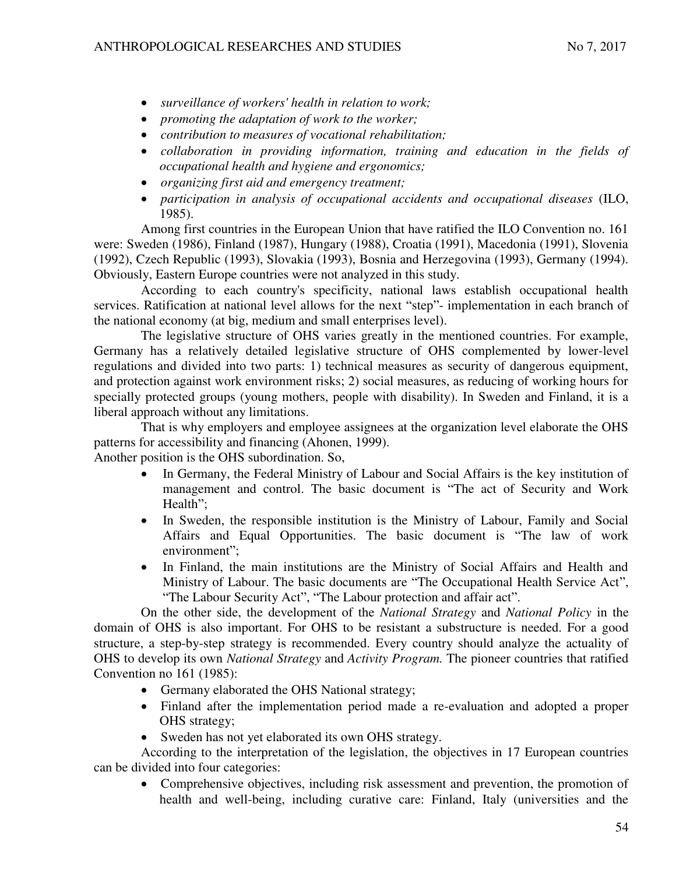- *surveillance of workers' health in relation to work;*
- *promoting the adaptation of work to the worker;*
- *contribution to measures of vocational rehabilitation;*
- collaboration in providing information, training and education in the fields of *occupational health and hygiene and ergonomics;*
- *organizing first aid and emergency treatment;*
- *participation in analysis of occupational accidents and occupational diseases* (ILO, 1985).

Among first countries in the European Union that have ratified the ILO Convention no. 161 were: Sweden (1986), Finland (1987), Hungary (1988), Croatia (1991), Macedonia (1991), Slovenia (1992), Czech Republic (1993), Slovakia (1993), Bosnia and Herzegovina (1993), Germany (1994). Obviously, Eastern Europe countries were not analyzed in this study.

According to each country's specificity, national laws establish occupational health services. Ratification at national level allows for the next "step"- implementation in each branch of the national economy (at big, medium and small enterprises level).

The legislative structure of OHS varies greatly in the mentioned countries. For example, Germany has a relatively detailed legislative structure of OHS complemented by lower-level regulations and divided into two parts: 1) technical measures as security of dangerous equipment, and protection against work environment risks; 2) social measures, as reducing of working hours for specially protected groups (young mothers, people with disability). In Sweden and Finland, it is a liberal approach without any limitations.

That is why employers and employee assignees at the organization level elaborate the OHS patterns for accessibility and financing (Ahonen, 1999).

Another position is the OHS subordination. So,

- In Germany, the Federal Ministry of Labour and Social Affairs is the key institution of management and control. The basic document is "The act of Security and Work Health";
- In Sweden, the responsible institution is the Ministry of Labour, Family and Social Affairs and Equal Opportunities. The basic document is "The law of work environment";
- In Finland, the main institutions are the Ministry of Social Affairs and Health and Ministry of Labour. The basic documents are "The Occupational Health Service Act", "The Labour Security Act", "The Labour protection and affair act".

On the other side, the development of the *National Strategy* and *National Policy* in the domain of OHS is also important. For OHS to be resistant a substructure is needed. For a good structure, a step-by-step strategy is recommended. Every country should analyze the actuality of OHS to develop its own *National Strategy* and *Activity Program.* The pioneer countries that ratified Convention no 161 (1985):

- Germany elaborated the OHS National strategy;
- Finland after the implementation period made a re-evaluation and adopted a proper OHS strategy;
- Sweden has not yet elaborated its own OHS strategy.

According to the interpretation of the legislation, the objectives in 17 European countries can be divided into four categories:

 Comprehensive objectives, including risk assessment and prevention, the promotion of health and well-being, including curative care: Finland, Italy (universities and the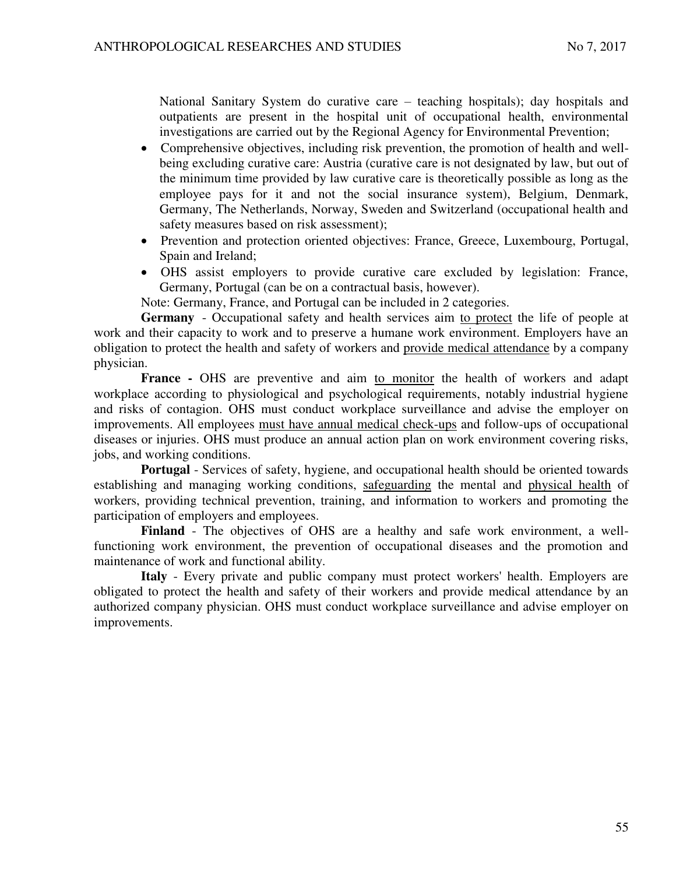National Sanitary System do curative care – teaching hospitals); day hospitals and outpatients are present in the hospital unit of occupational health, environmental investigations are carried out by the Regional Agency for Environmental Prevention;

- Comprehensive objectives, including risk prevention, the promotion of health and wellbeing excluding curative care: Austria (curative care is not designated by law, but out of the minimum time provided by law curative care is theoretically possible as long as the employee pays for it and not the social insurance system), Belgium, Denmark, Germany, The Netherlands, Norway, Sweden and Switzerland (occupational health and safety measures based on risk assessment);
- Prevention and protection oriented objectives: France, Greece, Luxembourg, Portugal, Spain and Ireland;
- OHS assist employers to provide curative care excluded by legislation: France, Germany, Portugal (can be on a contractual basis, however).

Note: Germany, France, and Portugal can be included in 2 categories.

**Germany** - Occupational safety and health services aim to protect the life of people at work and their capacity to work and to preserve a humane work environment. Employers have an obligation to protect the health and safety of workers and provide medical attendance by a company physician.

**France -** OHS are preventive and aim to monitor the health of workers and adapt workplace according to physiological and psychological requirements, notably industrial hygiene and risks of contagion. OHS must conduct workplace surveillance and advise the employer on improvements. All employees must have annual medical check-ups and follow-ups of occupational diseases or injuries. OHS must produce an annual action plan on work environment covering risks, jobs, and working conditions.

**Portugal** - Services of safety, hygiene, and occupational health should be oriented towards establishing and managing working conditions, safeguarding the mental and physical health of workers, providing technical prevention, training, and information to workers and promoting the participation of employers and employees.

**Finland** - The objectives of OHS are a healthy and safe work environment, a wellfunctioning work environment, the prevention of occupational diseases and the promotion and maintenance of work and functional ability.

**Italy** - Every private and public company must protect workers' health. Employers are obligated to protect the health and safety of their workers and provide medical attendance by an authorized company physician. OHS must conduct workplace surveillance and advise employer on improvements.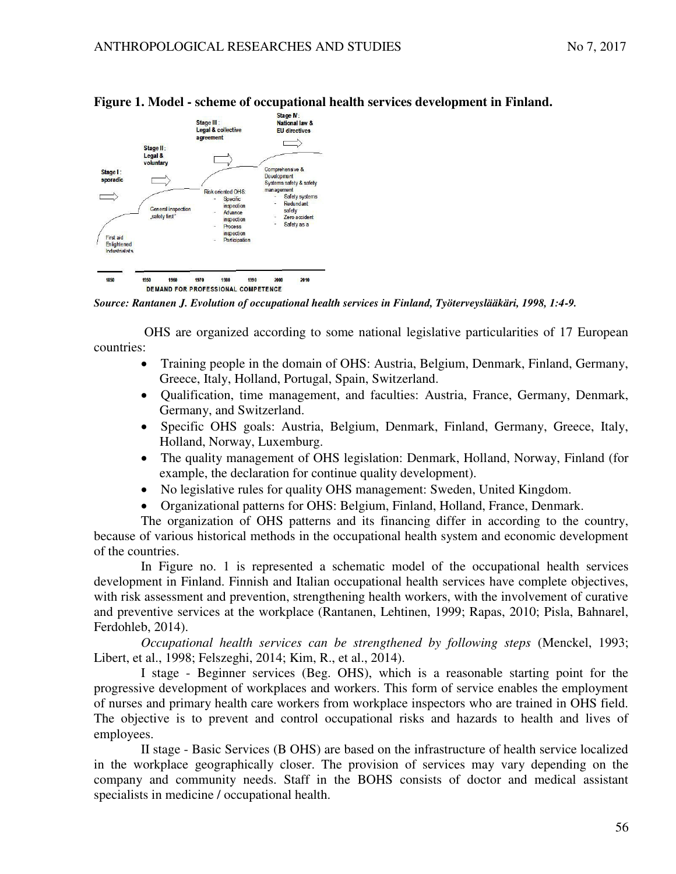

## **Figure 1. Model - scheme of occupational health services development in Finland.**

*Source: Rantanen J. Evolution of occupational health services in Finland, Työterveyslääkäri, 1998, 1:4-9.*

 OHS are organized according to some national legislative particularities of 17 European countries:

- Training people in the domain of OHS: Austria, Belgium, Denmark, Finland, Germany, Greece, Italy, Holland, Portugal, Spain, Switzerland.
- Qualification, time management, and faculties: Austria, France, Germany, Denmark, Germany, and Switzerland.
- Specific OHS goals: Austria, Belgium, Denmark, Finland, Germany, Greece, Italy, Holland, Norway, Luxemburg.
- The quality management of OHS legislation: Denmark, Holland, Norway, Finland (for example, the declaration for continue quality development).
- No legislative rules for quality OHS management: Sweden, United Kingdom.
- Organizational patterns for OHS: Belgium, Finland, Holland, France, Denmark.

The organization of OHS patterns and its financing differ in according to the country, because of various historical methods in the occupational health system and economic development of the countries.

In Figure no. 1 is represented a schematic model of the occupational health services development in Finland. Finnish and Italian occupational health services have complete objectives, with risk assessment and prevention, strengthening health workers, with the involvement of curative and preventive services at the workplace (Rantanen, Lehtinen, 1999; Rapas, 2010; Pisla, Bahnarel, Ferdohleb, 2014).

*Occupational health services can be strengthened by following steps* (Menckel, 1993; Libert, et al., 1998; Felszeghi, 2014; Kim, R., et al., 2014).

I stage - Beginner services (Beg. OHS), which is a reasonable starting point for the progressive development of workplaces and workers. This form of service enables the employment of nurses and primary health care workers from workplace inspectors who are trained in OHS field. The objective is to prevent and control occupational risks and hazards to health and lives of employees.

II stage - Basic Services (B OHS) are based on the infrastructure of health service localized in the workplace geographically closer. The provision of services may vary depending on the company and community needs. Staff in the BOHS consists of doctor and medical assistant specialists in medicine / occupational health.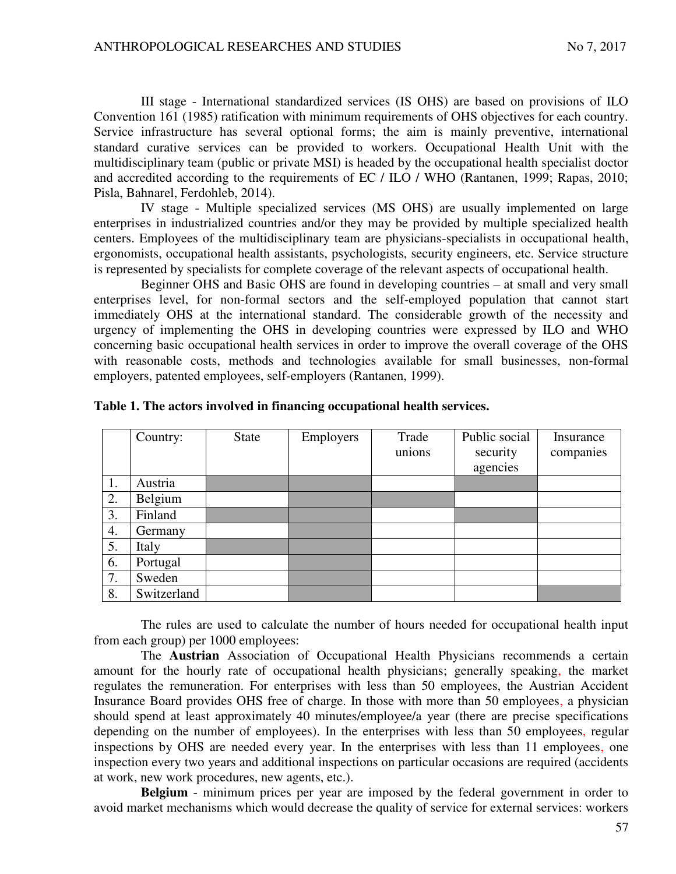III stage - International standardized services (IS OHS) are based on provisions of ILO Convention 161 (1985) ratification with minimum requirements of OHS objectives for each country. Service infrastructure has several optional forms; the aim is mainly preventive, international standard curative services can be provided to workers. Occupational Health Unit with the multidisciplinary team (public or private MSI) is headed by the occupational health specialist doctor and accredited according to the requirements of EC / ILO / WHO (Rantanen, 1999; Rapas, 2010; Pisla, Bahnarel, Ferdohleb, 2014).

IV stage - Multiple specialized services (MS OHS) are usually implemented on large enterprises in industrialized countries and/or they may be provided by multiple specialized health centers. Employees of the multidisciplinary team are physicians-specialists in occupational health, ergonomists, occupational health assistants, psychologists, security engineers, etc. Service structure is represented by specialists for complete coverage of the relevant aspects of occupational health.

Beginner OHS and Basic OHS are found in developing countries – at small and very small enterprises level, for non-formal sectors and the self-employed population that cannot start immediately OHS at the international standard. The considerable growth of the necessity and urgency of implementing the OHS in developing countries were expressed by ILO and WHO concerning basic occupational health services in order to improve the overall coverage of the OHS with reasonable costs, methods and technologies available for small businesses, non-formal employers, patented employees, self-employers (Rantanen, 1999).

|    | Country:    | State | Employers | Trade<br>unions | Public social<br>security | Insurance<br>companies |
|----|-------------|-------|-----------|-----------------|---------------------------|------------------------|
|    |             |       |           |                 | agencies                  |                        |
| 1. | Austria     |       |           |                 |                           |                        |
| 2. | Belgium     |       |           |                 |                           |                        |
| 3. | Finland     |       |           |                 |                           |                        |
| 4. | Germany     |       |           |                 |                           |                        |
| 5. | Italy       |       |           |                 |                           |                        |
| 6. | Portugal    |       |           |                 |                           |                        |
| 7. | Sweden      |       |           |                 |                           |                        |
| 8. | Switzerland |       |           |                 |                           |                        |

**Table 1. The actors involved in financing occupational health services.** 

The rules are used to calculate the number of hours needed for occupational health input from each group) per 1000 employees:

The **Austrian** Association of Occupational Health Physicians recommends a certain amount for the hourly rate of occupational health physicians; generally speaking, the market regulates the remuneration. For enterprises with less than 50 employees, the Austrian Accident Insurance Board provides OHS free of charge. In those with more than 50 employees, a physician should spend at least approximately 40 minutes/employee/a year (there are precise specifications depending on the number of employees). In the enterprises with less than 50 employees, regular inspections by OHS are needed every year. In the enterprises with less than 11 employees, one inspection every two years and additional inspections on particular occasions are required (accidents at work, new work procedures, new agents, etc.).

**Belgium** - minimum prices per year are imposed by the federal government in order to avoid market mechanisms which would decrease the quality of service for external services: workers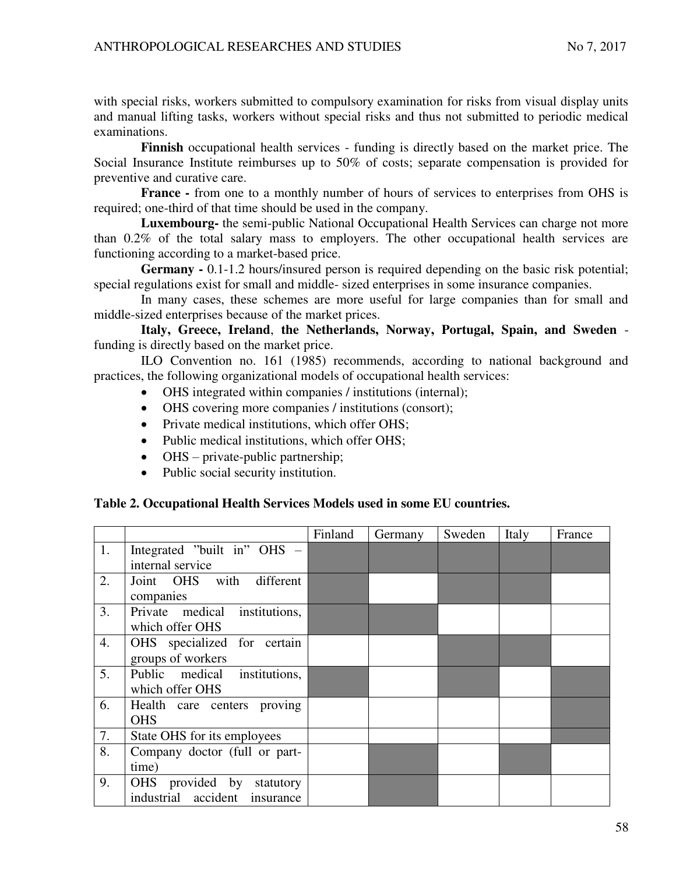with special risks, workers submitted to compulsory examination for risks from visual display units and manual lifting tasks, workers without special risks and thus not submitted to periodic medical examinations.

**Finnish** occupational health services - funding is directly based on the market price. The Social Insurance Institute reimburses up to 50% of costs; separate compensation is provided for preventive and curative care.

**France -** from one to a monthly number of hours of services to enterprises from OHS is required; one-third of that time should be used in the company.

**Luxembourg-** the semi-public National Occupational Health Services can charge not more than 0.2% of the total salary mass to employers. The other occupational health services are functioning according to a market-based price.

**Germany -** 0.1-1.2 hours/insured person is required depending on the basic risk potential; special regulations exist for small and middle- sized enterprises in some insurance companies.

In many cases, these schemes are more useful for large companies than for small and middle-sized enterprises because of the market prices.

**Italy, Greece, Ireland**, **the Netherlands, Norway, Portugal, Spain, and Sweden**  funding is directly based on the market price.

ILO Convention no. 161 (1985) recommends, according to national background and practices, the following organizational models of occupational health services:

- OHS integrated within companies / institutions (internal);
- OHS covering more companies / institutions (consort);
- Private medical institutions, which offer OHS;
- Public medical institutions, which offer OHS:
- OHS private-public partnership;
- Public social security institution.

## **Table 2. Occupational Health Services Models used in some EU countries.**

|    |                               | Finland | Germany | Sweden | Italy | France |
|----|-------------------------------|---------|---------|--------|-------|--------|
| 1. | Integrated "built in" OHS -   |         |         |        |       |        |
|    | internal service              |         |         |        |       |        |
| 2. | Joint OHS with<br>different   |         |         |        |       |        |
|    | companies                     |         |         |        |       |        |
| 3. | Private medical institutions, |         |         |        |       |        |
|    | which offer OHS               |         |         |        |       |        |
| 4. | OHS specialized for certain   |         |         |        |       |        |
|    | groups of workers             |         |         |        |       |        |
| 5. | Public medical institutions,  |         |         |        |       |        |
|    | which offer OHS               |         |         |        |       |        |
| 6. | Health care centers proving   |         |         |        |       |        |
|    | <b>OHS</b>                    |         |         |        |       |        |
| 7. | State OHS for its employees   |         |         |        |       |        |
| 8. | Company doctor (full or part- |         |         |        |       |        |
|    | time)                         |         |         |        |       |        |
| 9. | OHS provided by<br>statutory  |         |         |        |       |        |
|    | industrial accident insurance |         |         |        |       |        |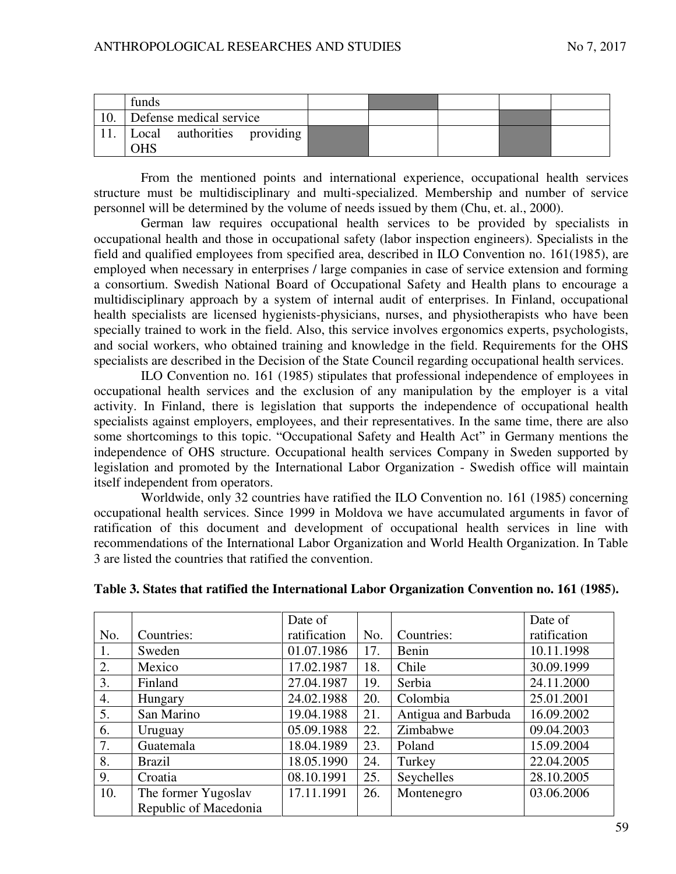|     | funds                                     |  |  |  |
|-----|-------------------------------------------|--|--|--|
| 10. | Defense medical service                   |  |  |  |
|     | Local authorities providing<br><b>OHS</b> |  |  |  |

From the mentioned points and international experience, occupational health services structure must be multidisciplinary and multi-specialized. Membership and number of service personnel will be determined by the volume of needs issued by them (Chu, et. al., 2000).

German law requires occupational health services to be provided by specialists in occupational health and those in occupational safety (labor inspection engineers). Specialists in the field and qualified employees from specified area, described in ILO Convention no. 161(1985), are employed when necessary in enterprises / large companies in case of service extension and forming a consortium. Swedish National Board of Occupational Safety and Health plans to encourage a multidisciplinary approach by a system of internal audit of enterprises. In Finland, occupational health specialists are licensed hygienists-physicians, nurses, and physiotherapists who have been specially trained to work in the field. Also, this service involves ergonomics experts, psychologists, and social workers, who obtained training and knowledge in the field. Requirements for the OHS specialists are described in the Decision of the State Council regarding occupational health services.

ILO Convention no. 161 (1985) stipulates that professional independence of employees in occupational health services and the exclusion of any manipulation by the employer is a vital activity. In Finland, there is legislation that supports the independence of occupational health specialists against employers, employees, and their representatives. In the same time, there are also some shortcomings to this topic. "Occupational Safety and Health Act" in Germany mentions the independence of OHS structure. Occupational health services Company in Sweden supported by legislation and promoted by the International Labor Organization - Swedish office will maintain itself independent from operators.

Worldwide, only 32 countries have ratified the ILO Convention no. 161 (1985) concerning occupational health services. Since 1999 in Moldova we have accumulated arguments in favor of ratification of this document and development of occupational health services in line with recommendations of the International Labor Organization and World Health Organization. In Table 3 are listed the countries that ratified the convention.

|     |                       | Date of      |     |                     | Date of      |
|-----|-----------------------|--------------|-----|---------------------|--------------|
| No. | Countries:            | ratification | No. | Countries:          | ratification |
| 1.  | Sweden                | 01.07.1986   | 17. | Benin               | 10.11.1998   |
| 2.  | Mexico                | 17.02.1987   | 18. | Chile               | 30.09.1999   |
| 3.  | Finland               | 27.04.1987   | 19. | Serbia              | 24.11.2000   |
| 4.  | Hungary               | 24.02.1988   | 20. | Colombia            | 25.01.2001   |
| 5.  | San Marino            | 19.04.1988   | 21. | Antigua and Barbuda | 16.09.2002   |
| 6.  | Uruguay               | 05.09.1988   | 22. | Zimbabwe            | 09.04.2003   |
| 7.  | Guatemala             | 18.04.1989   | 23. | Poland              | 15.09.2004   |
| 8.  | <b>Brazil</b>         | 18.05.1990   | 24. | Turkey              | 22.04.2005   |
| 9.  | Croatia               | 08.10.1991   | 25. | Seychelles          | 28.10.2005   |
| 10. | The former Yugoslav   | 17.11.1991   | 26. | Montenegro          | 03.06.2006   |
|     | Republic of Macedonia |              |     |                     |              |

# **Table 3. States that ratified the International Labor Organization Convention no. 161 (1985).**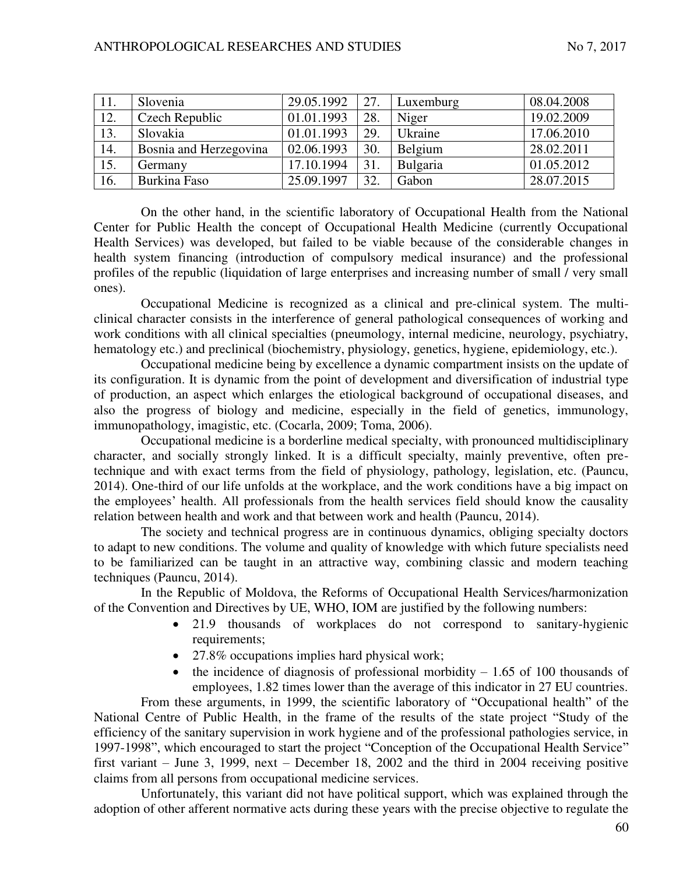| 11. | Slovenia               | 29.05.1992 | 27. | Luxemburg | 08.04.2008 |
|-----|------------------------|------------|-----|-----------|------------|
| 12. | Czech Republic         | 01.01.1993 | 28. | Niger     | 19.02.2009 |
| 13. | Slovakia               | 01.01.1993 | 29. | Ukraine   | 17.06.2010 |
| 14. | Bosnia and Herzegovina | 02.06.1993 | 30. | Belgium   | 28.02.2011 |
| 15. | Germany                | 17.10.1994 | 31. | Bulgaria  | 01.05.2012 |
| 16. | Burkina Faso           | 25.09.1997 | 32. | Gabon     | 28.07.2015 |

On the other hand, in the scientific laboratory of Occupational Health from the National Center for Public Health the concept of Occupational Health Medicine (currently Occupational Health Services) was developed, but failed to be viable because of the considerable changes in health system financing (introduction of compulsory medical insurance) and the professional profiles of the republic (liquidation of large enterprises and increasing number of small / very small ones).

Occupational Medicine is recognized as a clinical and pre-clinical system. The multiclinical character consists in the interference of general pathological consequences of working and work conditions with all clinical specialties (pneumology, internal medicine, neurology, psychiatry, hematology etc.) and preclinical (biochemistry, physiology, genetics, hygiene, epidemiology, etc.).

Occupational medicine being by excellence a dynamic compartment insists on the update of its configuration. It is dynamic from the point of development and diversification of industrial type of production, an aspect which enlarges the etiological background of occupational diseases, and also the progress of biology and medicine, especially in the field of genetics, immunology, immunopathology, imagistic, etc. (Cocarla, 2009; Toma, 2006).

Occupational medicine is a borderline medical specialty, with pronounced multidisciplinary character, and socially strongly linked. It is a difficult specialty, mainly preventive, often pretechnique and with exact terms from the field of physiology, pathology, legislation, etc. (Pauncu, 2014). One-third of our life unfolds at the workplace, and the work conditions have a big impact on the employees' health. All professionals from the health services field should know the causality relation between health and work and that between work and health (Pauncu, 2014).

The society and technical progress are in continuous dynamics, obliging specialty doctors to adapt to new conditions. The volume and quality of knowledge with which future specialists need to be familiarized can be taught in an attractive way, combining classic and modern teaching techniques (Pauncu, 2014).

In the Republic of Moldova, the Reforms of Occupational Health Services/harmonization of the Convention and Directives by UE, WHO, IOM are justified by the following numbers:

- 21.9 thousands of workplaces do not correspond to sanitary-hygienic requirements;
- 27.8% occupations implies hard physical work;
- the incidence of diagnosis of professional morbidity  $-1.65$  of 100 thousands of employees, 1.82 times lower than the average of this indicator in 27 EU countries.

From these arguments, in 1999, the scientific laboratory of "Occupational health" of the National Centre of Public Health, in the frame of the results of the state project "Study of the efficiency of the sanitary supervision in work hygiene and of the professional pathologies service, in 1997-1998", which encouraged to start the project "Conception of the Occupational Health Service" first variant – June 3, 1999, next – December 18, 2002 and the third in 2004 receiving positive claims from all persons from occupational medicine services.

Unfortunately, this variant did not have political support, which was explained through the adoption of other afferent normative acts during these years with the precise objective to regulate the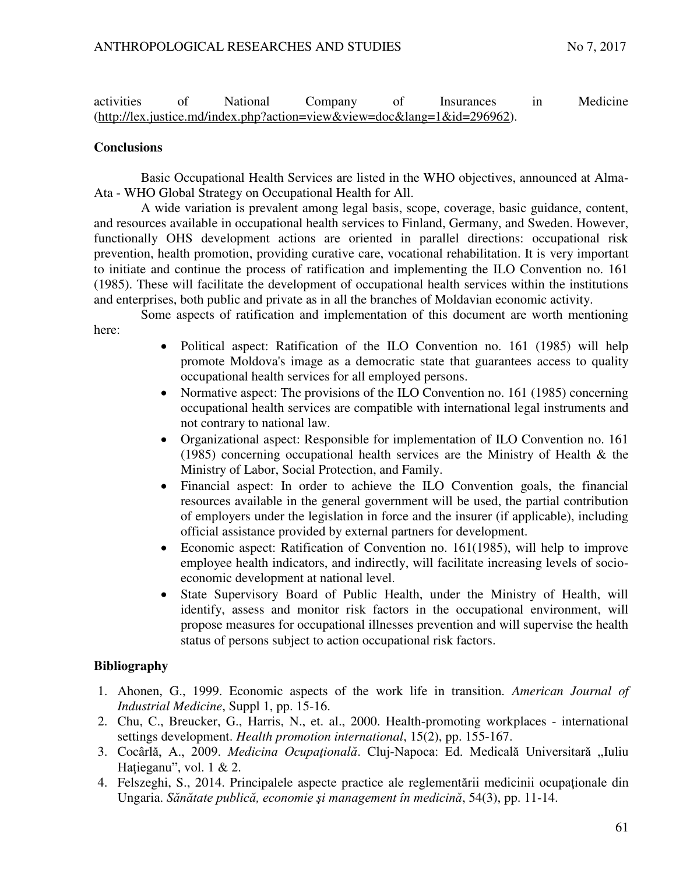activities of National Company of Insurances in Medicine [\(http://lex.justice.md/index.php?action=view&view=doc&lang=1&id=296962\)](http://lex.justice.md/index.php?action=viewHYPERLINK%20?http://lex.justice.md/index.php?action=view&view=doc&lang=1&id=296962%22&HYPERLINK%20?http://lex.justice.md/index.php?action=view&view=doc&lang=1&id=296962%22view=docHYPERLINK%20?http://lex.justice.md/index.php?action=view&view=doc&lang=1&id=296962%22&HYPERLINK%20?http://lex.justice.md/index.php?action=view&view=doc&lang=1&id=296962%22lang=1HYPERLINK%20?http://lex.justice.md/index.php?action=view&view=doc&lang=1&id=296962%22&HYPERLINK%20?http://lex.justice.md/index.php?action=view&view=doc&lang=1&id=296962%22id=296962).

## **Conclusions**

Basic Occupational Health Services are listed in the WHO objectives, announced at Alma-Ata - WHO Global Strategy on Occupational Health for All.

A wide variation is prevalent among legal basis, scope, coverage, basic guidance, content, and resources available in occupational health services to Finland, Germany, and Sweden. However, functionally OHS development actions are oriented in parallel directions: occupational risk prevention, health promotion, providing curative care, vocational rehabilitation. It is very important to initiate and continue the process of ratification and implementing the ILO Convention no. 161 (1985). These will facilitate the development of occupational health services within the institutions and enterprises, both public and private as in all the branches of Moldavian economic activity.

Some aspects of ratification and implementation of this document are worth mentioning here:

- Political aspect: Ratification of the ILO Convention no. 161 (1985) will help promote Moldova's image as a democratic state that guarantees access to quality occupational health services for all employed persons.
- Normative aspect: The provisions of the ILO Convention no. 161 (1985) concerning occupational health services are compatible with international legal instruments and not contrary to national law.
- Organizational aspect: Responsible for implementation of ILO Convention no. 161 (1985) concerning occupational health services are the Ministry of Health & the Ministry of Labor, Social Protection, and Family.
- Financial aspect: In order to achieve the ILO Convention goals, the financial resources available in the general government will be used, the partial contribution of employers under the legislation in force and the insurer (if applicable), including official assistance provided by external partners for development.
- Economic aspect: Ratification of Convention no. 161(1985), will help to improve employee health indicators, and indirectly, will facilitate increasing levels of socioeconomic development at national level.
- State Supervisory Board of Public Health, under the Ministry of Health, will identify, assess and monitor risk factors in the occupational environment, will propose measures for occupational illnesses prevention and will supervise the health status of persons subject to action occupational risk factors.

## **Bibliography**

- 1. Ahonen, G., 1999. Economic aspects of the work life in transition*. American Journal of Industrial Medicine*, Suppl 1, pp. 15-16.
- 2. Chu, C., Breucker, G., Harris, N., et. al., 2000. Health-promoting workplaces international settings development. *Health promotion international*, 15(2), pp. 155-167.
- 3. Cocârlă, A., 2009. Medicina Ocupațională. Cluj-Napoca: Ed. Medicală Universitară "Iuliu Hațieganu", vol. 1 & 2.
- 4. Felszeghi, S., 2014. Principalele aspecte practice ale reglementării medicinii ocupaţionale din Ungaria. *Sănătate publică, economie şi management în medicină*, 54(3), pp. 11-14.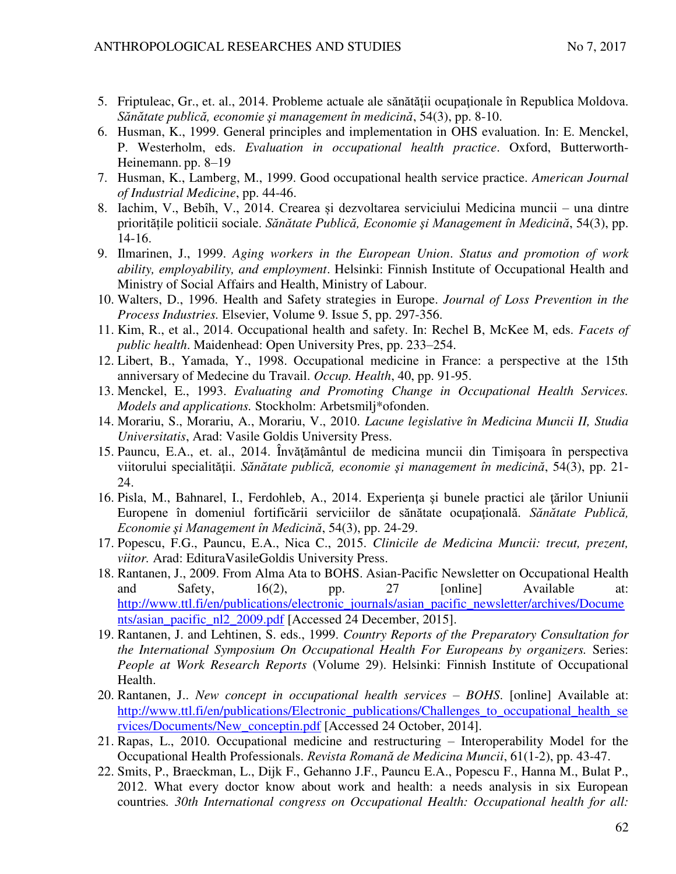- 5. Friptuleac, Gr., et. al., 2014. Probleme actuale ale sănătăţii ocupaţionale în Republica Moldova. *Sănătate publică, economie şi management în medicină*, 54(3), pp. 8-10.
- 6. Husman, K., 1999. General principles and implementation in OHS evaluation. In: E. Menckel, P. Westerholm, eds. *Evaluation in occupational health practice*. Oxford, Butterworth-Heinemann. pp. 8–19
- 7. Husman, K., Lamberg, M., 1999. Good occupational health service practice. *American Journal of Industrial Medicine*, pp. 44-46.
- 8. Iachim, V., Bebîh, V., 2014. Crearea și dezvoltarea serviciului Medicina muncii una dintre prioritățile politicii sociale. *Sănătate Publică, Economie şi Management în Medicină*, 54(3), pp. 14-16.
- 9. Ilmarinen, J., 1999. *Aging workers in the European Union*. *Status and promotion of work ability, employability, and employment*. Helsinki: Finnish Institute of Occupational Health and Ministry of Social Affairs and Health, Ministry of Labour.
- 10. Walters, D., 1996. Health and Safety strategies in Europe. *Journal of Loss Prevention in the Process Industries.* Elsevier, Volume 9. Issue 5, pp. 297-356.
- 11. Kim, R., et al., 2014. Occupational health and safety. In: Rechel B, McKee M, eds*. Facets of public health*. Maidenhead: Open University Pres, pp. 233–254.
- 12. Libert, B., Yamada, Y., 1998. Occupational medicine in France: a perspective at the 15th anniversary of Medecine du Travail. *Occup. Health*, 40, pp. 91-95.
- 13. Menckel, E., 1993. *Evaluating and Promoting Change in Occupational Health Services. Models and applications.* Stockholm: Arbetsmilj\*ofonden.
- 14. Morariu, S., Morariu, A., Morariu, V., 2010. *Lacune legislative în Medicina Muncii II, Studia Universitatis*, Arad: Vasile Goldis University Press.
- 15. Pauncu, E.A., et. al., 2014. Învăţământul de medicina muncii din Timişoara în perspectiva viitorului specialităţii. *Sănătate publică, economie şi management în medicină*, 54(3), pp. 21- 24.
- 16. Pisla, M., Bahnarel, I., Ferdohleb, A., 2014. Experienţa şi bunele practici ale ţărilor Uniunii Europene în domeniul fortificării serviciilor de sănătate ocupaţională. *Sănătate Publică, Economie şi Management în Medicină*, 54(3), pp. 24-29.
- 17. Popescu, F.G., Pauncu, E.A., Nica C., 2015. *Clinicile de Medicina Muncii: trecut, prezent, viitor.* Arad: EdituraVasileGoldis University Press.
- 18. Rantanen, J., 2009. From Alma Ata to BOHS. Asian-Pacific Newsletter on Occupational Health and Safety, 16(2), pp. 27 [online] Available at: [http://www.ttl.fi/en/publications/electronic\\_journals/asian\\_pacific\\_newsletter/archives/Docume](http://www.ttl.fi/en/publications/electronic_journals/asian_pacific_newsletter/archives/Documents/asian_pacific_nl2_2009.pdf) [nts/asian\\_pacific\\_nl2\\_2009.pdf](http://www.ttl.fi/en/publications/electronic_journals/asian_pacific_newsletter/archives/Documents/asian_pacific_nl2_2009.pdf) [Accessed 24 December, 2015].
- 19. Rantanen, J. and Lehtinen, S. eds., 1999. *Country Reports of the Preparatory Consultation for the International Symposium On Occupational Health For Europeans by organizers.* Series: *People at Work Research Reports* (Volume 29). Helsinki: Finnish Institute of Occupational Health.
- 20. Rantanen, J.. *New concept in occupational health services – BOHS*. [online] Available at: [http://www.ttl.fi/en/publications/Electronic\\_publications/Challenges\\_to\\_occupational\\_health\\_se](http://www.ttl.fi/en/publications/Electronic_publications/Challenges_to_occupational_health_services/Documents/New_conceptin.pdf) [rvices/Documents/New\\_conceptin.pdf](http://www.ttl.fi/en/publications/Electronic_publications/Challenges_to_occupational_health_services/Documents/New_conceptin.pdf) [Accessed 24 October, 2014].
- 21. Rapas, L., 2010. Occupational medicine and restructuring Interoperability Model for the Occupational Health Professionals. *Revista Romană de Medicina Muncii*, 61(1-2), pp. 43-47.
- 22. Smits, P., Braeckman, L., Dijk F., Gehanno J.F., Pauncu E.A., Popescu F., Hanna M., Bulat P., 2012. What every doctor know about work and health: a needs analysis in six European countries*. 30th International congress on Occupational Health: Occupational health for all:*